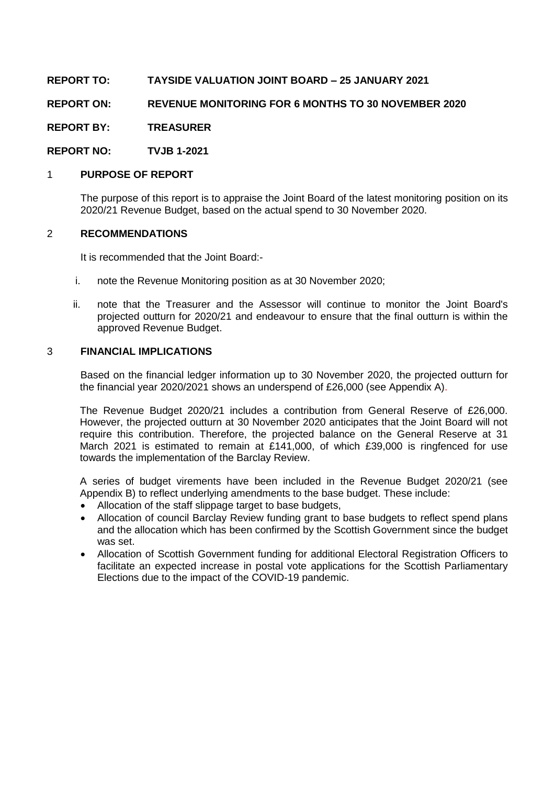**REPORT TO: TAYSIDE VALUATION JOINT BOARD – 25 JANUARY 2021**

**REPORT ON: REVENUE MONITORING FOR 6 MONTHS TO 30 NOVEMBER 2020**

**REPORT BY: TREASURER**

**REPORT NO: TVJB 1-2021**

# 1 **PURPOSE OF REPORT**

The purpose of this report is to appraise the Joint Board of the latest monitoring position on its 2020/21 Revenue Budget, based on the actual spend to 30 November 2020.

### 2 **RECOMMENDATIONS**

It is recommended that the Joint Board:-

- i. note the Revenue Monitoring position as at 30 November 2020;
- ii. note that the Treasurer and the Assessor will continue to monitor the Joint Board's projected outturn for 2020/21 and endeavour to ensure that the final outturn is within the approved Revenue Budget.

### 3 **FINANCIAL IMPLICATIONS**

Based on the financial ledger information up to 30 November 2020, the projected outturn for the financial year 2020/2021 shows an underspend of £26,000 (see Appendix A).

The Revenue Budget 2020/21 includes a contribution from General Reserve of £26,000. However, the projected outturn at 30 November 2020 anticipates that the Joint Board will not require this contribution. Therefore, the projected balance on the General Reserve at 31 March 2021 is estimated to remain at £141,000, of which £39,000 is ringfenced for use towards the implementation of the Barclay Review.

A series of budget virements have been included in the Revenue Budget 2020/21 (see Appendix B) to reflect underlying amendments to the base budget. These include:

- Allocation of the staff slippage target to base budgets,
- Allocation of council Barclay Review funding grant to base budgets to reflect spend plans and the allocation which has been confirmed by the Scottish Government since the budget was set.
- Allocation of Scottish Government funding for additional Electoral Registration Officers to facilitate an expected increase in postal vote applications for the Scottish Parliamentary Elections due to the impact of the COVID-19 pandemic.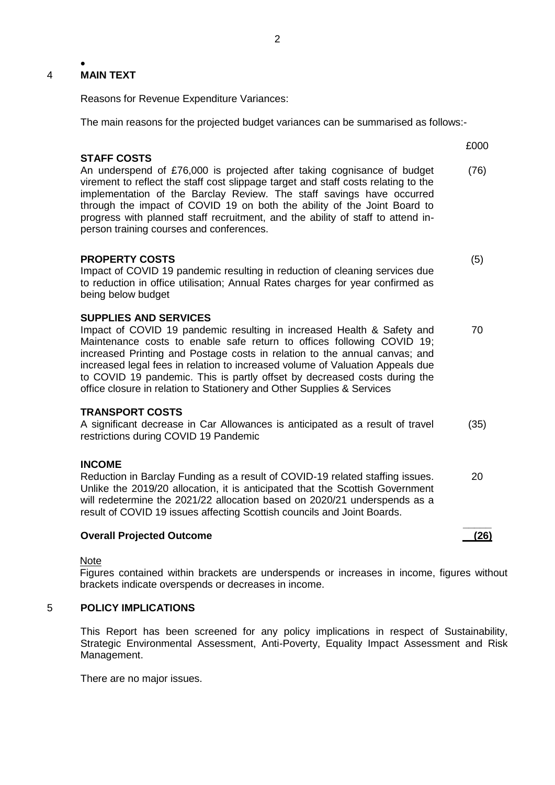#### • 4 **MAIN TEXT**

Reasons for Revenue Expenditure Variances:

The main reasons for the projected budget variances can be summarised as follows:-

£000

(5)

70

20

**\_\_\_\_\_ (26)**

# **STAFF COSTS**

An underspend of £76,000 is projected after taking cognisance of budget virement to reflect the staff cost slippage target and staff costs relating to the implementation of the Barclay Review. The staff savings have occurred through the impact of COVID 19 on both the ability of the Joint Board to progress with planned staff recruitment, and the ability of staff to attend inperson training courses and conferences. (76)

#### **PROPERTY COSTS**

Impact of COVID 19 pandemic resulting in reduction of cleaning services due to reduction in office utilisation; Annual Rates charges for year confirmed as being below budget

#### **SUPPLIES AND SERVICES**

Impact of COVID 19 pandemic resulting in increased Health & Safety and Maintenance costs to enable safe return to offices following COVID 19; increased Printing and Postage costs in relation to the annual canvas; and increased legal fees in relation to increased volume of Valuation Appeals due to COVID 19 pandemic. This is partly offset by decreased costs during the office closure in relation to Stationery and Other Supplies & Services

#### **TRANSPORT COSTS**

A significant decrease in Car Allowances is anticipated as a result of travel restrictions during COVID 19 Pandemic (35)

### **INCOME**

Reduction in Barclay Funding as a result of COVID-19 related staffing issues. Unlike the 2019/20 allocation, it is anticipated that the Scottish Government will redetermine the 2021/22 allocation based on 2020/21 underspends as a result of COVID 19 issues affecting Scottish councils and Joint Boards.

#### **Overall Projected Outcome**

Note

Figures contained within brackets are underspends or increases in income, figures without brackets indicate overspends or decreases in income.

# 5 **POLICY IMPLICATIONS**

This Report has been screened for any policy implications in respect of Sustainability, Strategic Environmental Assessment, Anti-Poverty, Equality Impact Assessment and Risk Management.

There are no major issues.

2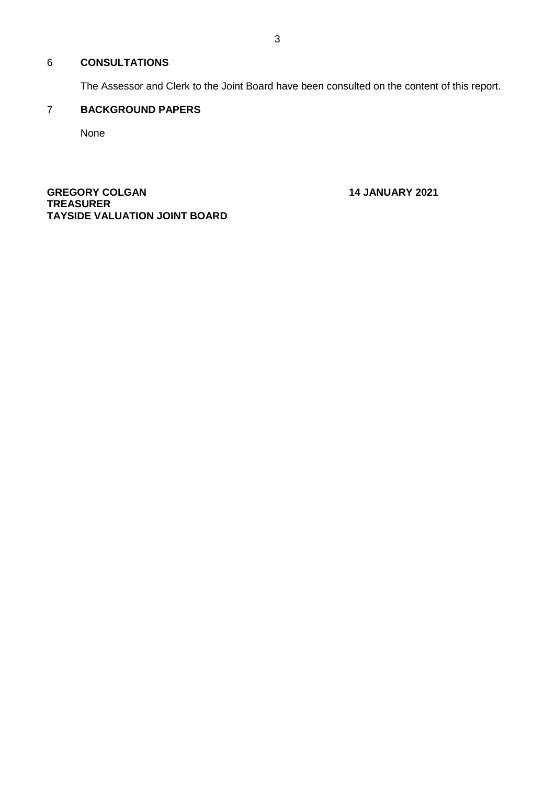# 6 **CONSULTATIONS**

The Assessor and Clerk to the Joint Board have been consulted on the content of this report.

# 7 **BACKGROUND PAPERS**

None

**GREGORY COLGAN 14 JANUARY 2021 TREASURER TAYSIDE VALUATION JOINT BOARD**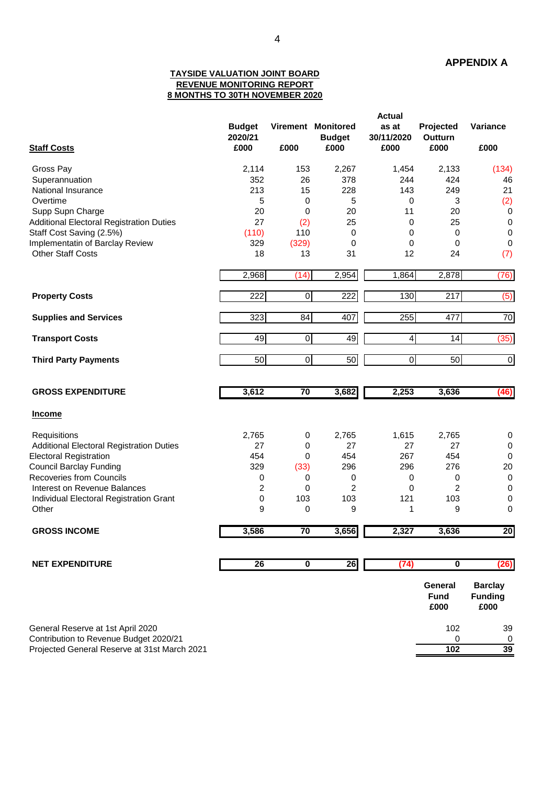#### **TAYSIDE VALUATION JOINT BOARD REVENUE MONITORING REPORT 8 MONTHS TO 30TH NOVEMBER 2020**

|                                                 |                          |                         |                                     | <b>Actual</b>       |                             |                  |  |  |
|-------------------------------------------------|--------------------------|-------------------------|-------------------------------------|---------------------|-----------------------------|------------------|--|--|
|                                                 | <b>Budget</b><br>2020/21 |                         | Virement Monitored<br><b>Budget</b> | as at<br>30/11/2020 | Projected<br><b>Outturn</b> | Variance         |  |  |
| <b>Staff Costs</b>                              | £000                     | £000                    | £000                                | £000                | £000                        | £000             |  |  |
| Gross Pay                                       | 2,114                    | 153                     | 2,267                               | 1,454               | 2,133                       | (134)            |  |  |
| Superannuation                                  | 352                      | 26                      | 378                                 | 244                 | 424                         | 46               |  |  |
| National Insurance                              | 213                      | 15                      | 228                                 | 143                 | 249                         | 21               |  |  |
| Overtime                                        | 5                        | 0                       | 5                                   | 0                   | 3                           | (2)              |  |  |
| Supp Supn Charge                                | 20                       | 0                       | 20                                  | 11                  | 20                          | $\pmb{0}$        |  |  |
| <b>Additional Electoral Registration Duties</b> | 27                       | (2)                     | 25                                  | 0                   | 25                          | $\mathbf 0$      |  |  |
|                                                 |                          |                         |                                     |                     |                             | $\boldsymbol{0}$ |  |  |
| Staff Cost Saving (2.5%)                        | (110)                    | 110                     | 0                                   | 0                   | 0                           |                  |  |  |
| Implementatin of Barclay Review                 | 329                      | (329)                   | 0                                   | 0                   | 0                           | $\mathbf 0$      |  |  |
| <b>Other Staff Costs</b>                        | 18                       | 13                      | 31                                  | 12                  | 24                          | (7)              |  |  |
|                                                 | 2,968                    | (14)                    | 2,954                               | 1,864               | 2,878                       | (76)             |  |  |
| <b>Property Costs</b>                           | 222                      | $\overline{0}$          | 222                                 | 130                 | $\overline{217}$            | (5)              |  |  |
|                                                 |                          |                         |                                     |                     |                             |                  |  |  |
| <b>Supplies and Services</b>                    | 323                      | 84                      | 407                                 | 255                 | 477                         | $\overline{70}$  |  |  |
| <b>Transport Costs</b>                          | $\overline{49}$          | $\overline{0}$          | 49                                  | 4                   | $\overline{14}$             | (35)             |  |  |
| <b>Third Party Payments</b>                     | 50                       | $\overline{0}$          | 50                                  | $\mathbf 0$         | $\overline{50}$             | $\overline{0}$   |  |  |
|                                                 |                          |                         |                                     |                     |                             |                  |  |  |
| <b>GROSS EXPENDITURE</b>                        | 3,612                    | 70                      | 3,682                               | 2,253               | 3,636                       | (46)             |  |  |
| <b>Income</b>                                   |                          |                         |                                     |                     |                             |                  |  |  |
| Requisitions                                    | 2,765                    | 0                       | 2,765                               | 1,615               | 2,765                       | 0                |  |  |
| <b>Additional Electoral Registration Duties</b> | 27                       | 0                       | 27                                  | 27                  | 27                          | 0                |  |  |
| <b>Electoral Registration</b>                   | 454                      | 0                       | 454                                 | 267                 | 454                         | 0                |  |  |
| <b>Council Barclay Funding</b>                  | 329                      | (33)                    | 296                                 | 296                 | 276                         | 20               |  |  |
| <b>Recoveries from Councils</b>                 | 0                        | 0                       | $\pmb{0}$                           | 0                   | 0                           | $\mathbf 0$      |  |  |
| Interest on Revenue Balances                    | $\overline{\mathbf{c}}$  | 0                       | $\overline{c}$                      | 0                   | 2                           | 0                |  |  |
| Individual Electoral Registration Grant         | 0                        | 103                     | 103                                 | 121                 | 103                         | 0                |  |  |
| Other                                           | 9                        | 0                       | 9                                   | 1                   | 9                           | 0                |  |  |
| <b>GROSS INCOME</b>                             | 3,586                    | 70                      | 3,656                               | 2,327               | 3,636                       | 20               |  |  |
|                                                 |                          |                         |                                     |                     |                             |                  |  |  |
| <b>NET EXPENDITURE</b>                          | 26                       | $\overline{\mathbf{0}}$ | 26                                  | (74)                | $\overline{\mathbf{0}}$     | (26)             |  |  |
|                                                 |                          |                         |                                     |                     |                             |                  |  |  |
|                                                 |                          |                         |                                     |                     | General                     | <b>Barclay</b>   |  |  |
|                                                 |                          |                         |                                     |                     | <b>Fund</b>                 | <b>Funding</b>   |  |  |
|                                                 |                          |                         |                                     |                     | £000                        | £000             |  |  |
| General Reserve at 1st April 2020               |                          |                         |                                     |                     | 102                         | 39               |  |  |
| Contribution to Revenue Budget 2020/21          |                          |                         |                                     |                     | 0                           | 0                |  |  |
| Projected General Reserve at 31st March 2021    |                          |                         |                                     |                     | 102                         | 39               |  |  |